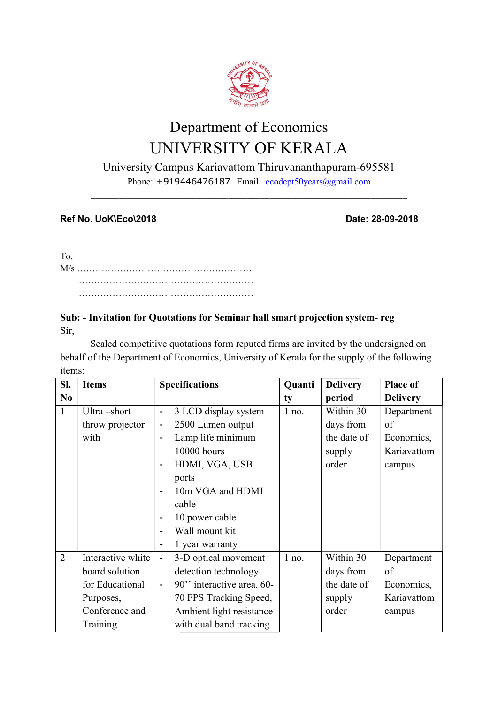

# Department of Economics UNIVERSITY OF KERALA

University Campus Kariavattom Thiruvananthapuram-695581

Phone: +919446476187 Email ecodept50years@gmail.com \_\_\_\_\_\_\_\_\_\_\_\_\_\_\_\_\_\_\_\_\_\_\_\_\_\_\_\_\_\_\_\_\_\_\_\_\_\_\_\_\_\_\_\_\_\_\_\_\_\_\_\_\_\_\_\_\_\_\_\_\_\_\_\_\_\_\_\_\_

## Ref No. UoK\Eco\2018

de de la contrata de la contrata de la contrata de la contrata de la contrata de la contrata de la contrata de Date: 28-09-2018

To, M/s ………………………………………………… ………………………………………………… ………………………………………………… ……………………………

## Sub: - Invitation for Quotations for Seminar hall smart projection system system- reg Sir,

Sealed competitive quotations form reputed firms are invited by the undersigned on behalf of the Department of Economics, University of Kerala for the supply of the following items:

| SI.            | <b>Items</b>      | <b>Specifications</b>                                 | Quanti  | <b>Delivery</b> | Place of        |
|----------------|-------------------|-------------------------------------------------------|---------|-----------------|-----------------|
| N <sub>0</sub> |                   |                                                       | ty      | period          | <b>Delivery</b> |
| $\mathbf{1}$   | Ultra-short       | 3 LCD display system<br>-                             | $1$ no. | Within 30       | Department      |
|                | throw projector   | 2500 Lumen output<br>-                                |         | days from       | of              |
|                | with              | Lamp life minimum<br>$\blacksquare$                   |         | the date of     | Economics,      |
|                |                   | 10000 hours                                           |         | supply          | Kariavattom     |
|                |                   | HDMI, VGA, USB<br>$\qquad \qquad \blacksquare$        |         | order           | campus          |
|                |                   | ports                                                 |         |                 |                 |
|                |                   | 10m VGA and HDMI<br>$\blacksquare$                    |         |                 |                 |
|                |                   | cable                                                 |         |                 |                 |
|                |                   | 10 power cable<br>-                                   |         |                 |                 |
|                |                   | Wall mount kit                                        |         |                 |                 |
|                |                   | 1 year warranty<br>$\qquad \qquad \blacksquare$       |         |                 |                 |
| $\overline{2}$ | Interactive white | 3-D optical movement<br>$\overline{a}$                | $1$ no. | Within 30       | Department      |
|                | board solution    | detection technology                                  |         | days from       | of              |
|                | for Educational   | 90" interactive area, 60-<br>$\overline{\phantom{0}}$ |         | the date of     | Economics,      |
|                | Purposes,         | 70 FPS Tracking Speed,                                |         | supply          | Kariavattom     |
|                | Conference and    | Ambient light resistance                              |         | order           | campus          |
|                | Training          | with dual band tracking                               |         |                 |                 |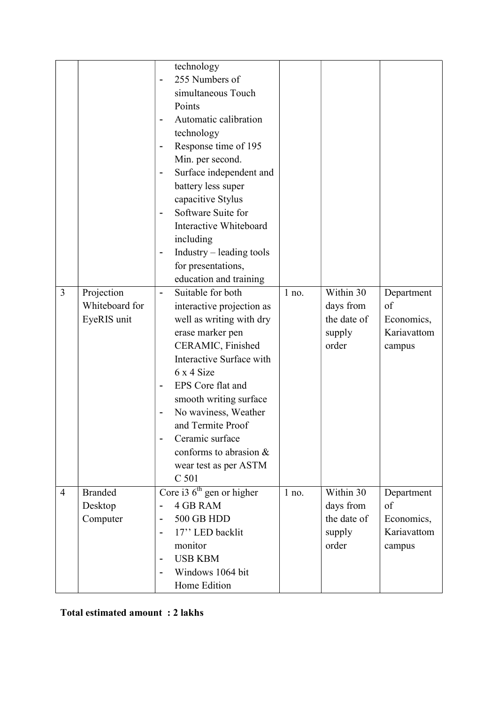|                |                | technology                                             |         |             |             |
|----------------|----------------|--------------------------------------------------------|---------|-------------|-------------|
|                |                | 255 Numbers of                                         |         |             |             |
|                |                | simultaneous Touch                                     |         |             |             |
|                |                | Points                                                 |         |             |             |
|                |                | Automatic calibration                                  |         |             |             |
|                |                | technology                                             |         |             |             |
|                |                | Response time of 195<br>$\overline{\phantom{a}}$       |         |             |             |
|                |                | Min. per second.                                       |         |             |             |
|                |                | Surface independent and<br>$\overline{\phantom{0}}$    |         |             |             |
|                |                | battery less super                                     |         |             |             |
|                |                | capacitive Stylus                                      |         |             |             |
|                |                | Software Suite for                                     |         |             |             |
|                |                | Interactive Whiteboard                                 |         |             |             |
|                |                | including                                              |         |             |             |
|                |                | $Industry - leading tools$<br>$\overline{\phantom{a}}$ |         |             |             |
|                |                | for presentations,                                     |         |             |             |
|                |                | education and training                                 |         |             |             |
| 3              | Projection     | Suitable for both<br>$\overline{\phantom{a}}$          | $1$ no. | Within 30   | Department  |
|                | Whiteboard for | interactive projection as                              |         | days from   | of          |
|                | EyeRIS unit    | well as writing with dry                               |         | the date of | Economics,  |
|                |                | erase marker pen                                       |         | supply      | Kariavattom |
|                |                | CERAMIC, Finished                                      |         | order       | campus      |
|                |                | Interactive Surface with                               |         |             |             |
|                |                | 6x4Size                                                |         |             |             |
|                |                | EPS Core flat and                                      |         |             |             |
|                |                | smooth writing surface                                 |         |             |             |
|                |                | No waviness, Weather<br>$\overline{\phantom{0}}$       |         |             |             |
|                |                | and Termite Proof                                      |         |             |             |
|                |                | Ceramic surface                                        |         |             |             |
|                |                | conforms to abrasion &                                 |         |             |             |
|                |                | wear test as per ASTM                                  |         |             |             |
|                |                | C 501                                                  |         |             |             |
| $\overline{4}$ | <b>Branded</b> | Core i3 $6th$ gen or higher                            | $1$ no. | Within 30   | Department  |
|                | Desktop        | <b>4 GB RAM</b>                                        |         | days from   | of          |
|                | Computer       | <b>500 GB HDD</b><br>$\overline{a}$                    |         | the date of | Economics,  |
|                |                | 17" LED backlit<br>$\overline{a}$                      |         | supply      | Kariavattom |
|                |                | monitor                                                |         | order       | campus      |
|                |                | <b>USB KBM</b><br>$\overline{\phantom{a}}$             |         |             |             |
|                |                | Windows 1064 bit                                       |         |             |             |
|                |                | Home Edition                                           |         |             |             |

Total estimated amount : 2 lakhs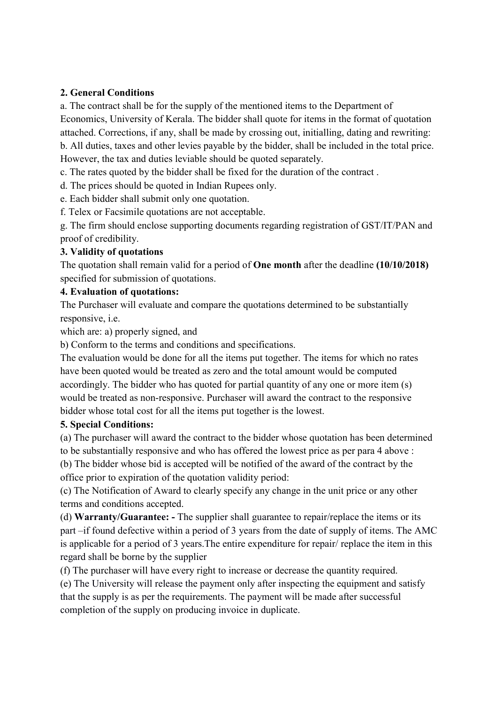## 2. General Conditions

a. The contract shall be for the supply of the mentioned items to the Department of Economics, University of Kerala. The bidder shall quote for items in the format of quotation attached. Corrections, if any, shall be made by crossing out, initialling, dating and rewriting: b. All duties, taxes and other levies payable by the bidder, shall be included in the total price. However, the tax and duties leviable should be quoted separately.

c. The rates quoted by the bidder shall be fixed for the duration of the contract .

d. The prices should be quoted in Indian Rupees only.

e. Each bidder shall submit only one quotation.

f. Telex or Facsimile quotations are not acceptable.

g. The firm should enclose supporting documents regarding registration of GST/IT/PAN and proof of credibility.

## 3. Validity of quotations

The quotation shall remain valid for a period of One month after the deadline (10/10/2018) specified for submission of quotations.

## 4. Evaluation of quotations:

The Purchaser will evaluate and compare the quotations determined to be substantially responsive, i.e.

which are: a) properly signed, and

b) Conform to the terms and conditions and specifications.

The evaluation would be done for all the items put together. The items for which no rates have been quoted would be treated as zero and the total amount would be computed accordingly. The bidder who has quoted for partial quantity of any one or more item (s) would be treated as non-responsive. Purchaser will award the contract to the responsive bidder whose total cost for all the items put together is the lowest.

#### 5. Special Conditions:

(a) The purchaser will award the contract to the bidder whose quotation has been determined to be substantially responsive and who has offered the lowest price as per para 4 above :

(b) The bidder whose bid is accepted will be notified of the award of the contract by the office prior to expiration of the quotation validity period:

(c) The Notification of Award to clearly specify any change in the unit price or any other terms and conditions accepted.

(d) Warranty/Guarantee: - The supplier shall guarantee to repair/replace the items or its part –if found defective within a period of 3 years from the date of supply of items. The AMC is applicable for a period of 3 years.The entire expenditure for repair/ replace the item in this regard shall be borne by the supplier

(f) The purchaser will have every right to increase or decrease the quantity required.

(e) The University will release the payment only after inspecting the equipment and satisfy that the supply is as per the requirements. The payment will be made after successful completion of the supply on producing invoice in duplicate.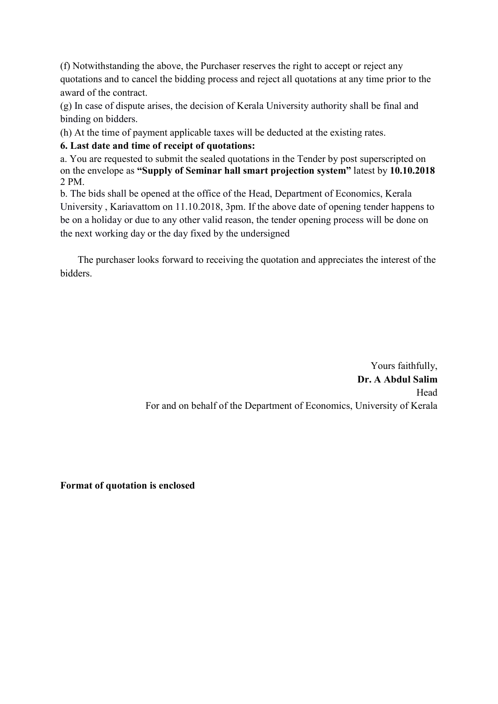(f) Notwithstanding the above, the Purchaser reserves the right to accept or reject any quotations and to cancel the bidding process and reject all quotations at any time prior to the award of the contract.

(g) In case of dispute arises, the decision of Kerala University authority shall be final and binding on bidders.

(h) At the time of payment applicable taxes will be deducted at the existing rates.

# 6. Last date and time of receipt of quotations:

a. You are requested to submit the sealed quotations in the Tender by post superscripted on on the envelope as "Supply of Seminar hall smart projection system" latest by 10.10.2018 2 PM.

b. The bids shall be opened at the office of the Head, Department of Economics, Kerala University , Kariavattom on 11.10.2018, 3pm. If the above date of opening tender happens to be on a holiday or due to any other valid reason, the tender opening process will be done on the next working day or the day fixed by the undersigned

 The purchaser looks forward to receiving the quotation and appreciates the interest of the bidders.

> Yours faithfully, Dr. A Abdul Salim Head For and on behalf of the Department of Economics, University of Kerala

Format of quotation is enclosed